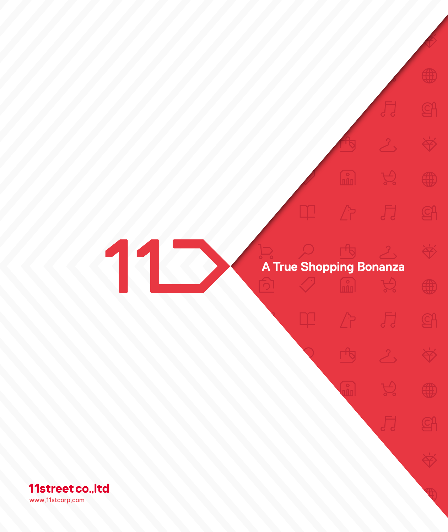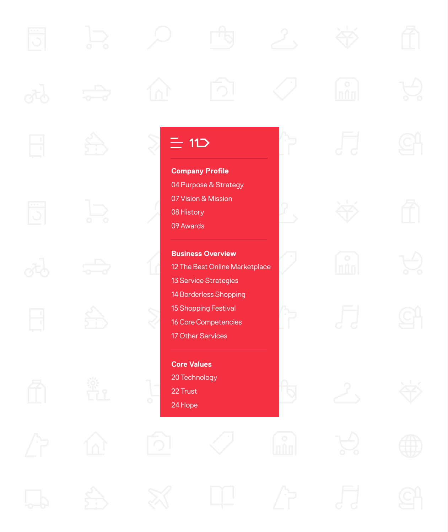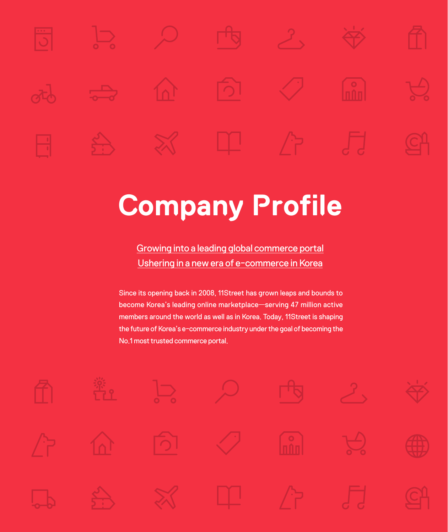<span id="page-2-0"></span>

# **Company Profile**

Growing into a leading global commerce portal Ushering in a new era of e-commerce in Korea

Since its opening back in 2008, 11Street has grown leaps and bounds to become Korea's leading online marketplace—serving 47 million active members around the world as well as in Korea. Today, 11Street is shaping the future of Korea's e-commerce industry under the goal of becoming the No.1 most trusted commerce portal.

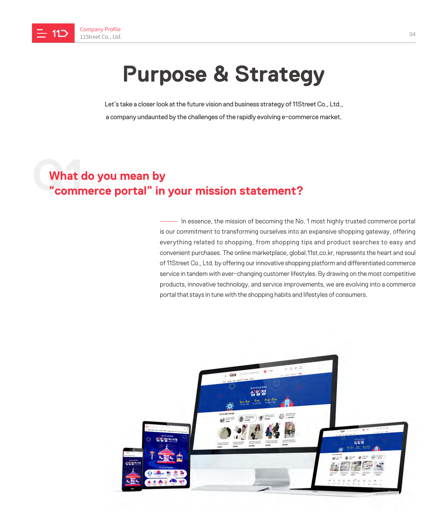<span id="page-3-0"></span>

# **Purpose & Strategy**

Let's take a closer look at the future vision and business strategy of 11Street Co., Ltd., a company undaunted by the challenges of the rapidly evolving e-commerce market.

### **What**<br>"comn **What do you mean by "commerce portal" in your mission statement?**

In essence, the mission of becoming the No. 1 most highly trusted commerce portal is our commitment to transforming ourselves into an expansive shopping gateway, offering everything related to shopping, from shopping tips and product searches to easy and convenient purchases. The online marketplace, global.11st.co.kr, represents the heart and soul of 11Street Co., Ltd. by offering our innovative shopping platform and differentiated commerce service in tandem with ever-changing customer lifestyles. By drawing on the most competitive products, innovative technology, and service improvements, we are evolving into a commerce portal that stays in tune with the shopping habits and lifestyles of consumers.

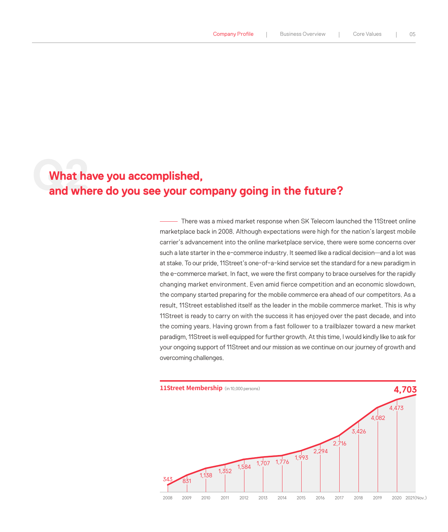# What have you accomplished,<br>and where do you see your company going in the future? **What have you accomplished,**

There was a mixed market response when SK Telecom launched the 11Street online marketplace back in 2008. Although expectations were high for the nation's largest mobile carrier's advancement into the online marketplace service, there were some concerns over such a late starter in the e-commerce industry. It seemed like a radical decision—and a lot was at stake. To our pride, 11Street's one-of-a-kind service set the standard for a new paradigm in the e-commerce market. In fact, we were the first company to brace ourselves for the rapidly changing market environment. Even amid fierce competition and an economic slowdown, the company started preparing for the mobile commerce era ahead of our competitors. As a result, 11Street established itself as the leader in the mobile commerce market. This is why 11Street is ready to carry on with the success it has enjoyed over the past decade, and into the coming years. Having grown from a fast follower to a trailblazer toward a new market paradigm, 11Street is well equipped for further growth. At this time, I would kindly like to ask for your ongoing support of 11Street and our mission as we continue on our journey of growth and overcoming challenges.

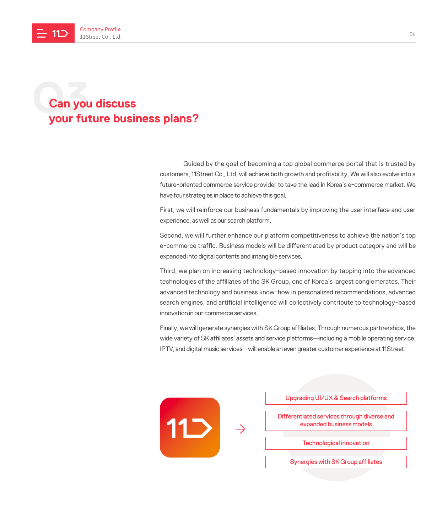## **Can you Can you discuss your future business plans?**

Guided by the goal of becoming a top global commerce portal that is trusted by customers, 11Street Co., Ltd. will achieve both growth and profitability. We will also evolve into a future-oriented commerce service provider to take the lead in Korea's e-commerce market. We have four strategies in place to achieve this goal.

First, we will reinforce our business fundamentals by improving the user interface and user experience, as well as our search platform.

Second, we will further enhance our platform competitiveness to achieve the nation's top e-commerce traffic. Business models will be differentiated by product category and will be expanded into digital contents and intangible services.

Third, we plan on increasing technology-based innovation by tapping into the advanced technologies of the affiliates of the SK Group, one of Korea's largest conglomerates. Their advanced technology and business know-how in personalized recommendations, advanced search engines, and artificial intelligence will collectively contribute to technology-based innovation in our commerce services.

Finally, we will generate synergies with SK Group affiliates. Through numerous partnerships, the wide variety of SK affiliates' assets and service platforms—including a mobile operating service, IPTV, and digital music services—will enable an even greater customer experience at 11Street.

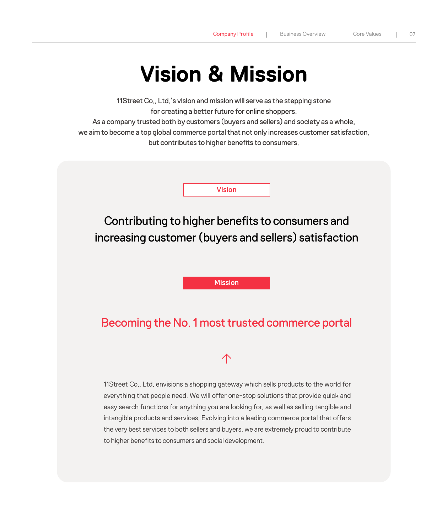# **Vision & Mission**

<span id="page-6-0"></span>11Street Co., Ltd.'s vision and mission will serve as the stepping stone for creating a better future for online shoppers.

As a company trusted both by customers (buyers and sellers) and society as a whole,

we aim to become a top global commerce portal that not only increases customer satisfaction, but contributes to higher benefits to consumers.

Vision

Contributing to higher benefits to consumers and increasing customer (buyers and sellers) satisfaction

Mission

#### Becoming the No. 1 most trusted commerce portal



11Street Co., Ltd. envisions a shopping gateway which sells products to the world for everything that people need. We will offer one-stop solutions that provide quick and easy search functions for anything you are looking for, as well as selling tangible and intangible products and services. Evolving into a leading commerce portal that offers the very best services to both sellers and buyers, we are extremely proud to contribute to higher benefits to consumers and social development.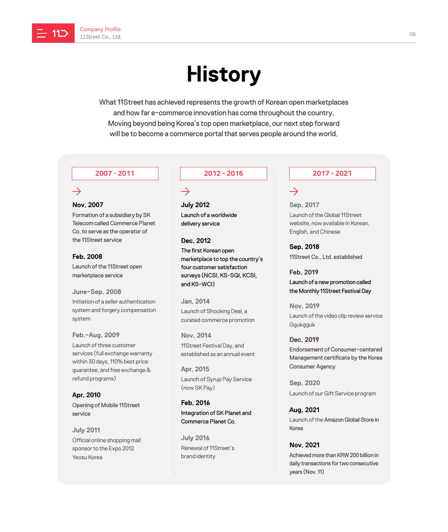<span id="page-7-0"></span>

# **History**

What 11Street has achieved represents the growth of Korean open marketplaces and how far e-commerce innovation has come throughout the country. Moving beyond being Korea's top open marketplace, our next step forward will be to become a commerce portal that serves people around the world.

#### $\rightarrow$

#### **Nov. 2007**

Formation of a subsidiary by SK Telecom called Commerce Planet Co. to serve as the operator of the 11Street service

**Feb. 2008** Launch of the 11Street open marketplace service

**June-Sep. 2008** Initiation of a seller authentication system and forgery compensation system

**Feb.-Aug. 2009** Launch of three customer services (full exchange warranty within 30 days, 110% best price guarantee, and free exchange & refund programs)

**Apr. 2010** Opening of Mobile 11Street service

**July 2011** Official online shopping mall sponsor to the Expo 2012 Yeosu Korea

#### 2007 - 2011 2012 - 2016 2017 - 2021

#### $\rightarrow$

**July 2012** Launch of a worldwide delivery service

**Dec. 2012** 

The first Korean open marketplace to top the country's four customer satisfaction surveys (NCSI, KS-SQI, KCSI, and KS-WCI)

**Jan. 2014** Launch of Shocking Deal, a curated commerce promotion

**Nov. 2014** 11Street Festival Day, and established as an annual event

**Apr. 2015** Launch of Syrup Pay Service (now SK Pay)

**Feb. 2016** Integration of SK Planet and Commerce Planet Co.

**July 2016** Renewal of 11Street's brand identity

#### $\rightarrow$

**Sep. 2017** Launch of the Global 11Street website, now available in Korean, English, and Chinese

**Sep. 2018** 11Street Co., Ltd. established

**Feb. 2019** Launch of a new promotion called the Monthly 11Street Festival Day

**Nov. 2019**  Launch of the video clip review service Ggukgguk

#### **Dec. 2019**

Endorsement of Consumer-centered Management certificate by the Korea Consumer Agency

**Sep. 2020** Launch of our Gift Service program

**Aug. 2021** Launch of the Amazon Global Store in Korea

daily transactions for two consecutive

**Nov. 2021** Achieved more than KRW 200 billion in

years (Nov. 11)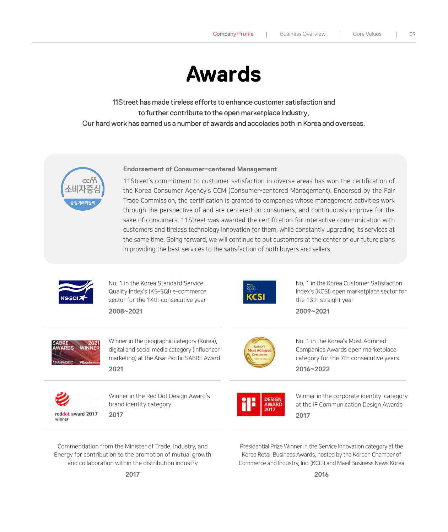# **Awards**

<span id="page-8-0"></span>11Street has made tireless efforts to enhance customer satisfaction and to further contribute to the open marketplace industry. Our hard work has earned us a number of awards and accolades both in Korea and overseas.



#### **Endorsement of Consumer-centered Management**

11Street's commitment to customer satisfaction in diverse areas has won the certification of the Korea Consumer Agency's CCM (Consumer-centered Management). Endorsed by the Fair Trade Commission, the certification is granted to companies whose management activities work through the perspective of and are centered on consumers, and continuously improve for the sake of consumers. 11Street was awarded the certification for interactive communication with customers and tireless technology innovation for them, while constantly upgrading its services at the same time. Going forward, we will continue to put customers at the center of our future plans in providing the best services to the satisfaction of both buyers and sellers.



No. 1 in the Korea Standard Service Quality Index's (KS-SQI) e-commerce sector for the 14th consecutive year

**2008~2021**



No. 1 in the Korea Customer Satisfaction Index's (KCSI) open marketplace sector for the 13th straight year

**2009~2021**



Winner in the geographic category (Korea), digital and social media category (influencer marketing) at the Aisa-Pacific SABRE Award **2021**



No. 1 in the Korea's Most Admired Companies Awards open marketplace category for the 7th consecutive years **2016~2022**

reddot award 2017 winner

Winner in the Red Dot Design Award's brand identity category **2017**



Winner in the corporate identity category at the iF Communication Design Awards **2017**

Commendation from the Minister of Trade, Industry, and Energy for contribution to the promotion of mutual growth and collaboration within the distribution industry

Presidential Prize Winner in the Service Innovation category at the Korea Retail Business Awards, hosted by the Korean Chamber of Commerce and Industry, Inc. (KCCI) and Maeil Business News Korea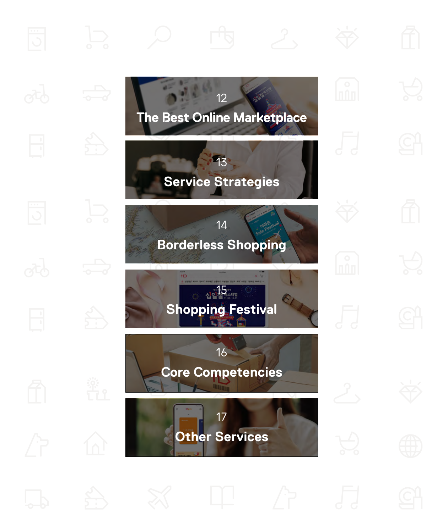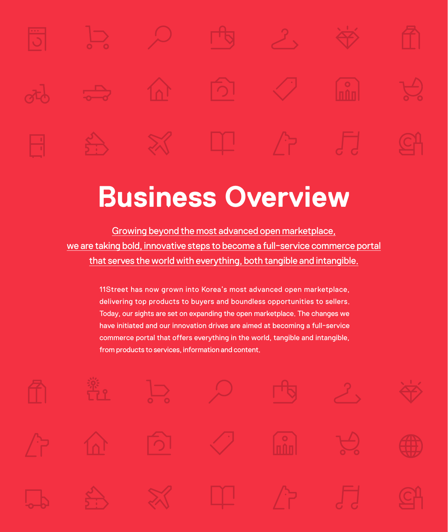<span id="page-10-0"></span>

# **Business Overview**

Growing beyond the most advanced open marketplace, we are taking bold, innovative steps to become a full-service commerce portal that serves the world with everything, both tangible and intangible.

> 11Street has now grown into Korea's most advanced open marketplace, delivering top products to buyers and boundless opportunities to sellers. Today, our sights are set on expanding the open marketplace. The changes we have initiated and our innovation drives are aimed at becoming a full-service commerce portal that offers everything in the world, tangible and intangible, from products to services, information and content.

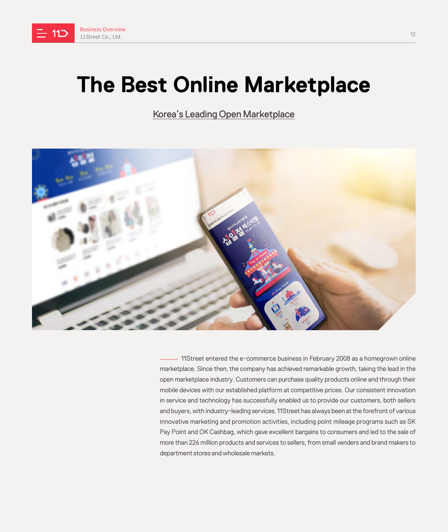<span id="page-11-0"></span>

# **The Best Online Marketplace**

Korea's Leading Open Marketplace



11Street entered the e-commerce business in February 2008 as a homegrown online marketplace. Since then, the company has achieved remarkable growth, taking the lead in the open marketplace industry. Customers can purchase quality products online and through their mobile devices with our established platform at competitive prices. Our consistent innovation in service and technology has successfully enabled us to provide our customers, both sellers and buyers, with industry-leading services. 11Street has always been at the forefront of various innovative marketing and promotion activities, including point mileage programs such as SK Pay Point and OK Cashbag, which gave excellent bargains to consumers and led to the sale of more than 226 million products and services to sellers, from small venders and brand makers to department stores and wholesale markets.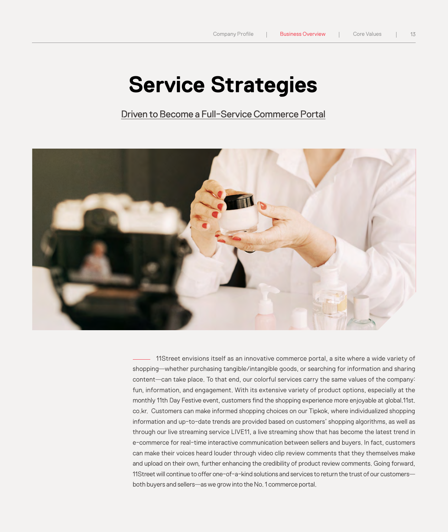# **Service Strategies**

Driven to Become a Full-Service Commerce Portal

<span id="page-12-0"></span>

11Street envisions itself as an innovative commerce portal, a site where a wide variety of shopping—whether purchasing tangible/intangible goods, or searching for information and sharing content—can take place. To that end, our colorful services carry the same values of the company: fun, information, and engagement. With its extensive variety of product options, especially at the monthly 11th Day Festive event, customers find the shopping experience more enjoyable at global.11st. co.kr. Customers can make informed shopping choices on our Tipkok, where individualized shopping information and up-to-date trends are provided based on customers' shopping algorithms, as well as through our live streaming service LIVE11, a live streaming show that has become the latest trend in e-commerce for real-time interactive communication between sellers and buyers. In fact, customers can make their voices heard louder through video clip review comments that they themselves make and upload on their own, further enhancing the credibility of product review comments. Going forward, 11Street will continue to offer one-of-a-kind solutions and services to return the trust of our customers both buyers and sellers—as we grow into the No. 1 commerce portal.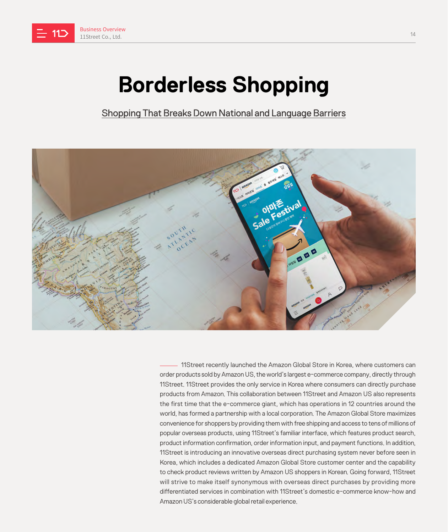<span id="page-13-0"></span>

# **Borderless Shopping**

Shopping That Breaks Down National and Language Barriers



- 11Street recently launched the Amazon Global Store in Korea, where customers can order products sold by Amazon US, the world's largest e-commerce company, directly through 11Street. 11Street provides the only service in Korea where consumers can directly purchase products from Amazon. This collaboration between 11Street and Amazon US also represents the first time that the e-commerce giant, which has operations in 12 countries around the world, has formed a partnership with a local corporation. The Amazon Global Store maximizes convenience for shoppers by providing them with free shipping and access to tens of millions of popular overseas products, using 11Street's familiar interface, which features product search, product information confirmation, order information input, and payment functions. In addition, 11Street is introducing an innovative overseas direct purchasing system never before seen in Korea, which includes a dedicated Amazon Global Store customer center and the capability to check product reviews written by Amazon US shoppers in Korean. Going forward, 11Street will strive to make itself synonymous with overseas direct purchases by providing more differentiated services in combination with 11Street's domestic e-commerce know-how and Amazon US's considerable global retail experience.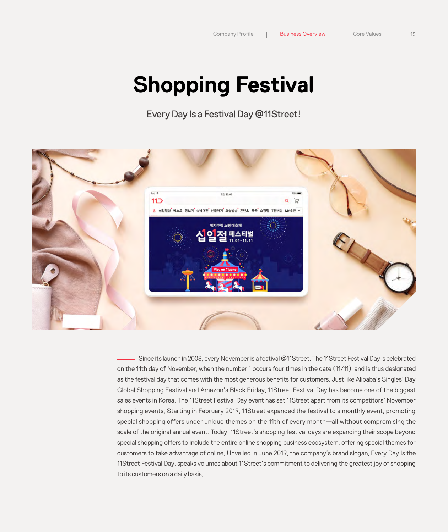# **Shopping Festival**

Every Day Is a Festival Day @11Street!

<span id="page-14-0"></span>

Since its launch in 2008, every November is a festival @11Street. The 11Street Festival Day is celebrated on the 11th day of November, when the number 1 occurs four times in the date (11/11), and is thus designated as the festival day that comes with the most generous benefits for customers. Just like Alibaba's Singles' Day Global Shopping Festival and Amazon's Black Friday, 11Street Festival Day has become one of the biggest sales events in Korea. The 11Street Festival Day event has set 11Street apart from its competitors' November shopping events. Starting in February 2019, 11Street expanded the festival to a monthly event, promoting special shopping offers under unique themes on the 11th of every month—all without compromising the scale of the original annual event. Today, 11Street's shopping festival days are expanding their scope beyond special shopping offers to include the entire online shopping business ecosystem, offering special themes for customers to take advantage of online. Unveiled in June 2019, the company's brand slogan, Every Day Is the 11Street Festival Day, speaks volumes about 11Street's commitment to delivering the greatest joy of shopping to its customers on a daily basis.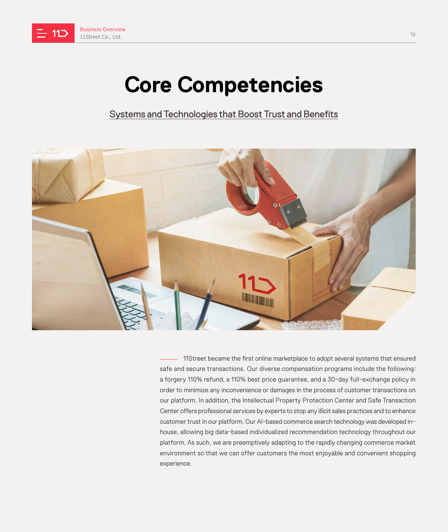<span id="page-15-0"></span>

# **Core Competencies**

Systems and Technologies that Boost Trust and Benefits



11Street became the first online marketplace to adopt several systems that ensured safe and secure transactions. Our diverse compensation programs include the following: a forgery 110% refund, a 110% best price guarantee, and a 30-day full-exchange policy in order to minimize any inconvenience or damages in the process of customer transactions on our platform. In addition, the Intellectual Property Protection Center and Safe Transaction Center offers professional services by experts to stop any illicit sales practices and to enhance customer trust in our platform. Our AI-based commerce search technology was developed inhouse, allowing big data-based individualized recommendation technology throughout our platform. As such, we are preemptively adapting to the rapidly changing commerce market environment so that we can offer customers the most enjoyable and convenient shopping experience.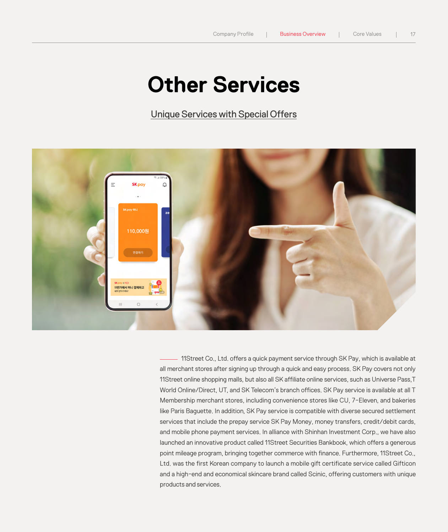# **Other Services**

Unique Services with Special Offers

<span id="page-16-0"></span>

11Street Co., Ltd. offers a quick payment service through SK Pay, which is available at all merchant stores after signing up through a quick and easy process. SK Pay covers not only 11Street online shopping malls, but also all SK affiliate online services, such as Universe Pass,T World Online/Direct, UT, and SK Telecom's branch offices. SK Pay service is available at all T Membership merchant stores, including convenience stores like CU, 7-Eleven, and bakeries like Paris Baguette. In addition, SK Pay service is compatible with diverse secured settlement services that include the prepay service SK Pay Money, money transfers, credit/debit cards, and mobile phone payment services. In alliance with Shinhan Investment Corp., we have also launched an innovative product called 11Street Securities Bankbook, which offers a generous point mileage program, bringing together commerce with finance. Furthermore, 11Street Co., Ltd. was the first Korean company to launch a mobile gift certificate service called Gifticon and a high-end and economical skincare brand called Scinic, offering customers with unique products and services.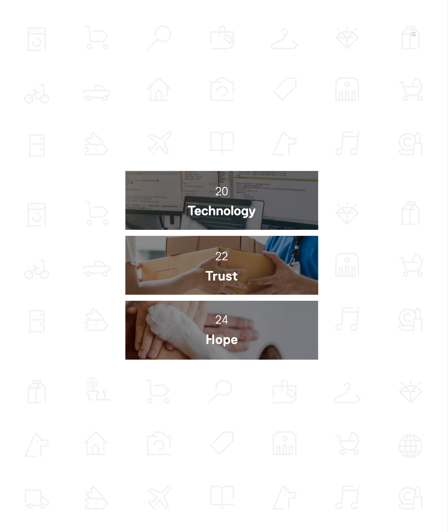<span id="page-17-0"></span>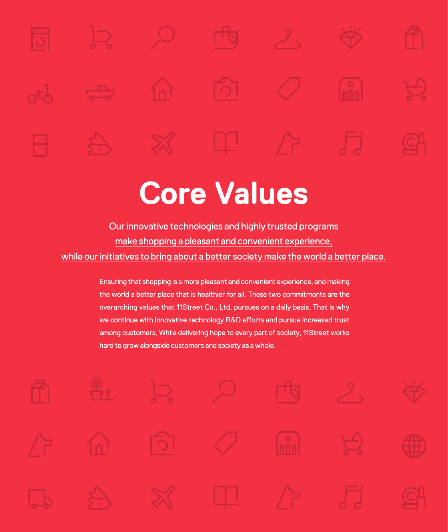# **Core Values**

Our innovative technologies and highly trusted programs make shopping a pleasant and convenient experience, while our initiatives to bring about a better society make the world a better place.

> Ensuring that shopping is a more pleasant and convenient experience, and making the world a better place that is healthier for all. These two commitments are the overarching values that 11Street Co., Ltd. pursues on a daily basis. That is why we continue with innovative technology R&D efforts and pursue increased trust among customers. While delivering hope to every part of society, 11Street works hard to grow alongside customers and society as a whole.

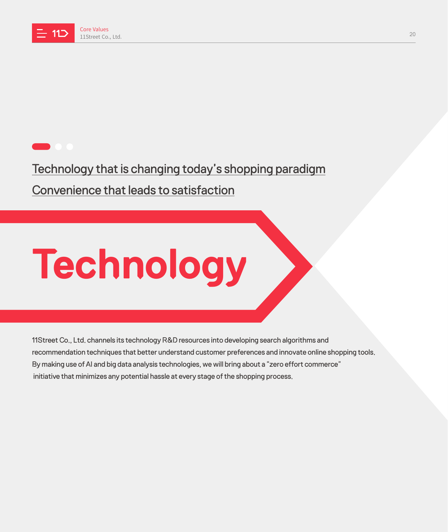<span id="page-19-0"></span>

# Technology that is changing today's shopping paradigm Convenience that leads to satisfaction

# **Technology**

11Street Co., Ltd. channels its technology R&D resources into developing search algorithms and recommendation techniques that better understand customer preferences and innovate online shopping tools. By making use of AI and big data analysis technologies, we will bring about a "zero effort commerce" initiative that minimizes any potential hassle at every stage of the shopping process.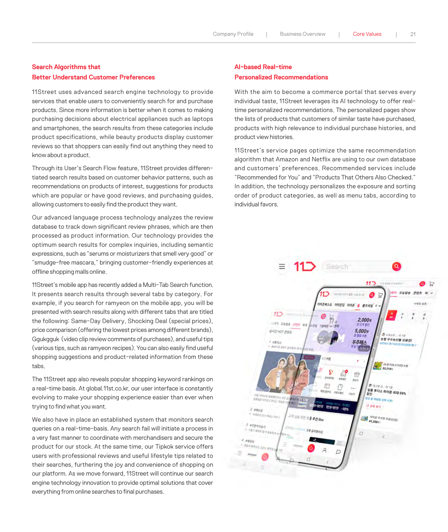#### **Search Algorithms that Better Understand Customer Preferences**

11Street uses advanced search engine technology to provide services that enable users to conveniently search for and purchase products. Since more information is better when it comes to making purchasing decisions about electrical appliances such as laptops and smartphones, the search results from these categories include product specifications, while beauty products display customer reviews so that shoppers can easily find out anything they need to know about a product.

Through its User's Search Flow feature, 11Street provides differentiated search results based on customer behavior patterns, such as recommendations on products of interest, suggestions for products which are popular or have good reviews, and purchasing guides, allowing customers to easily find the product they want.

Our advanced language process technology analyzes the review database to track down significant review phrases, which are then processed as product information. Our technology provides the optimum search results for complex inquiries, including semantic expressions, such as "serums or moisturizers that smell very good" or "smudge-free mascara," bringing customer-friendly experiences at offline shopping malls online.

11Street's mobile app has recently added a Multi-Tab Search function. It presents search results through several tabs by category. For example, if you search for ramyeon on the mobile app, you will be presented with search results along with different tabs that are titled the following: Same-Day Delivery, Shocking Deal (special prices), price comparison (offering the lowest prices among different brands), Ggukgguk (video clip review comments of purchases), and useful tips (various tips, such as ramyeon recipes). You can also easily find useful shopping suggestions and product-related information from these tabs.

The 11Street app also reveals popular shopping keyword rankings on a real-time basis. At global.11st.co.kr, our user interface is constantly evolving to make your shopping experience easier than ever when trying to find what you want.

We also have in place an established system that monitors search queries on a real-time-basis. Any search fail will initiate a process in a very fast manner to coordinate with merchandisers and secure the product for our stock. At the same time, our Tipkok service offers users with professional reviews and useful lifestyle tips related to their searches, furthering the joy and convenience of shopping on our platform. As we move forward, 11Street will continue our search engine technology innovation to provide optimal solutions that cover everything from online searches to final purchases.

#### **AI-based Real-time Personalized Recommendations**

With the aim to become a commerce portal that serves every individual taste, 11Street leverages its AI technology to offer realtime personalized recommendations. The personalized pages show the lists of products that customers of similar taste have purchased, products with high relevance to individual purchase histories, and product view histories.

11Street's service pages optimize the same recommendation algorithm that Amazon and Netflix are using to our own database and customers' preferences. Recommended services include "Recommended for You" and "Products That Others Also Checked." In addition, the technology personalizes the exposure and sorting order of product categories, as well as menu tabs, according to individual favors.

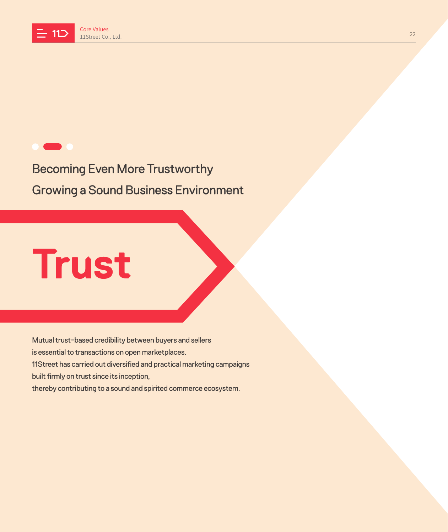<span id="page-21-0"></span>

## Becoming Even More Trustworthy Growing a Sound Business Environment

# **Trust**

Mutual trust-based credibility between buyers and sellers is essential to transactions on open marketplaces. 11Street has carried out diversified and practical marketing campaigns built firmly on trust since its inception, thereby contributing to a sound and spirited commerce ecosystem.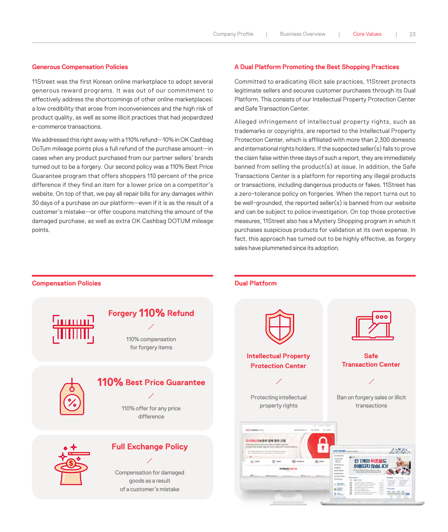#### **Generous Compensation Policies**

11Street was the first Korean online marketplace to adopt several generous reward programs. It was out of our commitment to effectively address the shortcomings of other online marketplaces: a low credibility that arose from inconveniences and the high risk of product quality, as well as some illicit practices that had jeopardized e-commerce transactions.

We addressed this right away with a 110% refund—10% in OK Cashbag DoTum mileage points plus a full refund of the purchase amount—in cases when any product purchased from our partner sellers' brands turned out to be a forgery. Our second policy was a 110% Best Price Guarantee program that offers shoppers 110 percent of the price difference if they find an item for a lower price on a competitor's website. On top of that, we pay all repair bills for any damages within 30 days of a purchase on our platform—even if it is as the result of a customer's mistake—or offer coupons matching the amount of the damaged purchase, as well as extra OK Cashbag DOTUM mileage points.

**Compensation Policies Compensation Policies Compensation Policies** 

#### **A Dual Platform Promoting the Best Shopping Practices**

Committed to eradicating illicit sale practices, 11Street protects legitimate sellers and secures customer purchases through its Dual Platform. This consists of our Intellectual Property Protection Center and Safe Transaction Center.

Alleged infringement of intellectual property rights, such as trademarks or copyrights, are reported to the Intellectual Property Protection Center, which is affiliated with more than 2,300 domestic and international rights holders. If the suspected seller(s) fails to prove the claim false within three days of such a report, they are immediately banned from selling the product(s) at issue. In addition, the Safe Transactions Center is a platform for reporting any illegal products or transactions, including dangerous products or fakes. 11Street has a zero-tolerance policy on forgeries. When the report turns out to be well-grounded, the reported seller(s) is banned from our website and can be subject to police investigation. On top those protective measures, 11Street also has a Mystery Shopping program in which it purchases suspicious products for validation at its own expense. In fact, this approach has turned out to be highly effective, as forgery sales have plummeted since its adoption.

#### **Forgery 110% Refund** 101011101 110% compensation for forgery items **Intellectual Property Safe Transaction Center Protection Center 110% Best Price Guarantee** Protecting intellectual Ban on forgery sales or illicit property rights transactions 110% offer for any price difference **ID GREEN**  $1000$ 지식재산권보호와 침해 행위 근절 **Full Exchange Policy**  $\pmb{\gamma}$  $\label{eq:2.1} \frac{1}{2} \sum_{i=1}^n \frac{1}{2} \sum_{j=1}^n \frac{1}{2} \sum_{j=1}^n \frac{1}{2} \sum_{j=1}^n \frac{1}{2} \sum_{j=1}^n \frac{1}{2} \sum_{j=1}^n \frac{1}{2} \sum_{j=1}^n \frac{1}{2} \sum_{j=1}^n \frac{1}{2} \sum_{j=1}^n \frac{1}{2} \sum_{j=1}^n \frac{1}{2} \sum_{j=1}^n \frac{1}{2} \sum_{j=1}^n \frac{1}{2} \sum_{j=1}^n \frac{$ **BIS ISK 150** 단 1개의 위조품도  $\triangleq$ 허용되지 않습니다 对付指针器 在世习记 Compensation for damaged goods as a result  $-$  2001 00 of a customer's mistake $\frac{1}{2}$ and Jap<br>University <mark>and</mark> North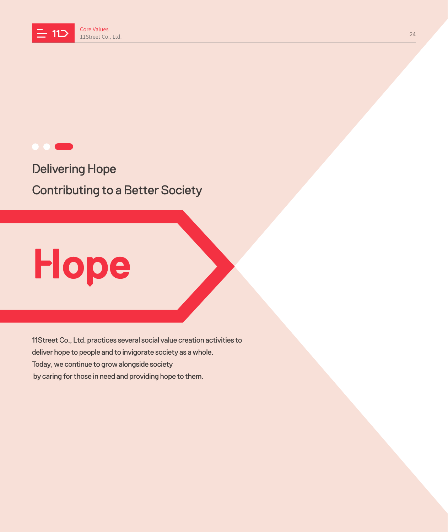<span id="page-23-0"></span>

Delivering Hope **Contributing to a Better Society** 

# **Hope**

11Street Co., Ltd. practices several social value creation activities to deliver hope to people and to invigorate society as a whole. Today, we continue to grow alongside society by caring for those in need and providing hope to them.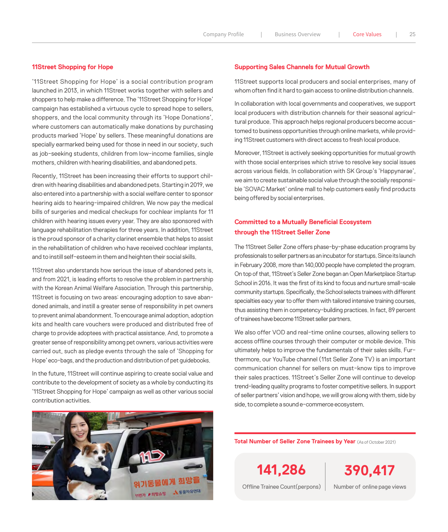#### **11Street Shopping for Hope**

'11Street Shopping for Hope' is a social contribution program launched in 2013, in which 11Street works together with sellers and shoppers to help make a difference. The '11Street Shopping for Hope' campaign has established a virtuous cycle to spread hope to sellers, shoppers, and the local community through its 'Hope Donations', where customers can automatically make donations by purchasing products marked 'Hope' by sellers. These meaningful donations are specially earmarked being used for those in need in our society, such as job-seeking students, children from low-income families, single mothers, children with hearing disabilities, and abandoned pets.

Recently, 11Street has been increasing their efforts to support children with hearing disabilities and abandoned pets. Starting in 2019, we also entered into a partnership with a social welfare center to sponsor hearing aids to hearing-impaired children. We now pay the medical bills of surgeries and medical checkups for cochlear implants for 11 children with hearing issues every year. They are also sponsored with language rehabilitation therapies for three years. In addition, 11Street is the proud sponsor of a charity clarinet ensemble that helps to assist in the rehabilitation of children who have received cochlear implants and to instill self-esteem in them and heighten their social skills.

11Street also understands how serious the issue of abandoned pets is, and from 2021, is leading efforts to resolve the problem in partnership with the Korean Animal Welfare Association. Through this partnership, 11Street is focusing on two areas: encouraging adoption to save abandoned animals, and instill a greater sense of responsibility in pet owners to prevent animal abandonment. To encourage animal adoption, adoption kits and health care vouchers were produced and distributed free of charge to provide adoptees with practical assistance. And, to promote a greater sense of responsibility among pet owners, various activities were carried out, such as pledge events through the sale of 'Shopping for Hope' eco-bags, and the production and distribution of pet guidebooks.

In the future, 11Street will continue aspiring to create social value and contribute to the development of society as a whole by conducting its '11Street Shopping for Hope' campaign as well as other various social contribution activities.

#### **Supporting Sales Channels for Mutual Growth**

11Street supports local producers and social enterprises, many of whom often find it hard to gain access to online distribution channels.

In collaboration with local governments and cooperatives, we support local producers with distribution channels for their seasonal agricultural produce. This approach helps regional producers become accustomed to business opportunities through online markets, while providing 11Street customers with direct access to fresh local produce.

Moreover, 11Street is actively seeking opportunities for mutual growth with those social enterprises which strive to resolve key social issues across various fields. In collaboration with SK Group's 'Happynarae', we aim to create sustainable social value through the socially responsible 'SOVAC Market' online mall to help customers easily find products being offered by social enterprises.

#### **Committed to a Mutually Beneficial Ecosystem through the 11Street Seller Zone**

The 11Street Seller Zone offers phase-by-phase education programs by professionals to seller partners as an incubator for startups. Since its launch in February 2008, more than 140,000 people have completed the program. On top of that, 11Street's Seller Zone began an Open Marketplace Startup School in 2016. It was the first of its kind to focus and nurture small-scale community startups. Specifically, the School selects trainees with different specialties eacy year to offer them with tailored intensive training courses, thus assisting them in competency-building practices. In fact, 89 percent of trainees have become 11Street seller partners.

We also offer VOD and real-time online courses, allowing sellers to access offline courses through their computer or mobile device. This ultimately helps to improve the fundamentals of their sales skills. Furthermore, our YouTube channel (11st Seller Zone TV) is an important communication channel for sellers on must-know tips to improve their sales practices. 11Street's Seller Zone will continue to develop trend-leading quality programs to foster competitive sellers. In support of seller partners' vision and hope, we will grow along with them, side by side, to complete a sound e-commerce ecosystem.



**Total Number of Seller Zone Trainees by Year** (As of October 2021)

**141,286 390,417**

Offline Trainee Count(perpons) Number of online page views